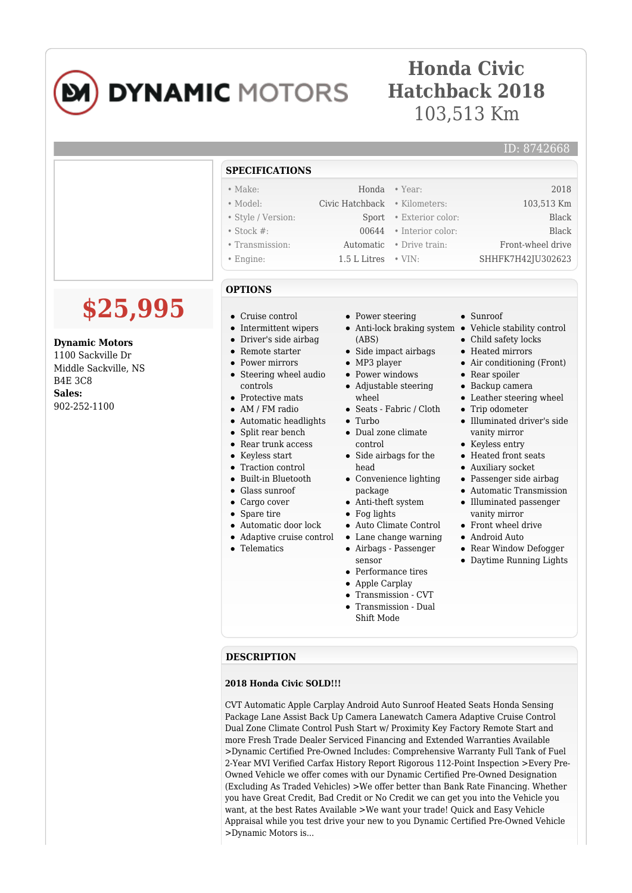

# **Honda Civic Hatchback 2018** 103,513 Km

### ID: 8742668

|                                                                                                                            | <b>SPECIFICATIONS</b>                                                                                                                                                                                                                                                                                                                                                                                                                                                                                                                      |                                                                                                                                                                                                                                                                                                                                                                                                                                                                                         |                                                                                                                                                                                                                                                                                                                                                                                                                                                                                                                                                                                      |
|----------------------------------------------------------------------------------------------------------------------------|--------------------------------------------------------------------------------------------------------------------------------------------------------------------------------------------------------------------------------------------------------------------------------------------------------------------------------------------------------------------------------------------------------------------------------------------------------------------------------------------------------------------------------------------|-----------------------------------------------------------------------------------------------------------------------------------------------------------------------------------------------------------------------------------------------------------------------------------------------------------------------------------------------------------------------------------------------------------------------------------------------------------------------------------------|--------------------------------------------------------------------------------------------------------------------------------------------------------------------------------------------------------------------------------------------------------------------------------------------------------------------------------------------------------------------------------------------------------------------------------------------------------------------------------------------------------------------------------------------------------------------------------------|
|                                                                                                                            | $\bullet$ Make:                                                                                                                                                                                                                                                                                                                                                                                                                                                                                                                            | $\bullet$ Year:<br>Honda                                                                                                                                                                                                                                                                                                                                                                                                                                                                | 2018                                                                                                                                                                                                                                                                                                                                                                                                                                                                                                                                                                                 |
|                                                                                                                            | $\bullet$ Model:                                                                                                                                                                                                                                                                                                                                                                                                                                                                                                                           | Civic Hatchback<br>· Kilometers:                                                                                                                                                                                                                                                                                                                                                                                                                                                        | 103,513 Km                                                                                                                                                                                                                                                                                                                                                                                                                                                                                                                                                                           |
|                                                                                                                            | • Style / Version:                                                                                                                                                                                                                                                                                                                                                                                                                                                                                                                         | • Exterior color:<br>Sport                                                                                                                                                                                                                                                                                                                                                                                                                                                              | <b>Black</b>                                                                                                                                                                                                                                                                                                                                                                                                                                                                                                                                                                         |
|                                                                                                                            | $\bullet$ Stock #:                                                                                                                                                                                                                                                                                                                                                                                                                                                                                                                         | 00644<br>• Interior color:                                                                                                                                                                                                                                                                                                                                                                                                                                                              | <b>Black</b>                                                                                                                                                                                                                                                                                                                                                                                                                                                                                                                                                                         |
|                                                                                                                            | • Transmission:                                                                                                                                                                                                                                                                                                                                                                                                                                                                                                                            | Automatic<br>• Drive train:                                                                                                                                                                                                                                                                                                                                                                                                                                                             | Front-wheel drive                                                                                                                                                                                                                                                                                                                                                                                                                                                                                                                                                                    |
|                                                                                                                            | $\bullet$ Engine:                                                                                                                                                                                                                                                                                                                                                                                                                                                                                                                          | 1.5 L Litres<br>$\cdot$ VIN:                                                                                                                                                                                                                                                                                                                                                                                                                                                            | SHHFK7H42JU302623                                                                                                                                                                                                                                                                                                                                                                                                                                                                                                                                                                    |
|                                                                                                                            | <b>OPTIONS</b>                                                                                                                                                                                                                                                                                                                                                                                                                                                                                                                             |                                                                                                                                                                                                                                                                                                                                                                                                                                                                                         |                                                                                                                                                                                                                                                                                                                                                                                                                                                                                                                                                                                      |
| \$25,995<br><b>Dynamic Motors</b><br>1100 Sackville Dr<br>Middle Sackville, NS<br><b>B4E 3C8</b><br>Sales:<br>902-252-1100 | Cruise control<br>$\bullet$<br>• Intermittent wipers<br>Driver's side airbag<br>$\bullet$<br>Remote starter<br>$\bullet$<br>• Power mirrors<br>• Steering wheel audio<br>controls<br>$\bullet$ Protective mats<br>AM / FM radio<br>• Automatic headlights<br>Split rear bench<br>$\bullet$<br>• Rear trunk access<br>• Keyless start<br>• Traction control<br>• Built-in Bluetooth<br>Glass sunroof<br>$\bullet$<br>$\bullet$ Cargo cover<br>Spare tire<br>$\bullet$<br>• Automatic door lock<br>• Adaptive cruise control<br>• Telematics | • Power steering<br>(ABS)<br>• Side impact airbags<br>$\bullet$ MP3 player<br>• Power windows<br>• Adjustable steering<br>wheel<br>• Seats - Fabric / Cloth<br>$\bullet$ Turbo<br>• Dual zone climate<br>control<br>• Side airbags for the<br>head<br>• Convenience lighting<br>package<br>$\bullet$ Anti-theft system<br>$\bullet$ Fog lights<br>$\bullet~$ Auto Climate Control<br>• Lane change warning<br>• Airbags - Passenger<br>sensor<br>• Performance tires<br>• Apple Carplay | $\bullet$ Sunroof<br>• Anti-lock braking system • Vehicle stability control<br>• Child safety locks<br>• Heated mirrors<br>$\bullet$ Air conditioning (Front)<br>• Rear spoiler<br>$\bullet$ Backup camera<br>• Leather steering wheel<br>• Trip odometer<br>· Illuminated driver's side<br>vanity mirror<br>• Keyless entry<br>• Heated front seats<br>• Auxiliary socket<br>• Passenger side airbag<br>• Automatic Transmission<br>• Illuminated passenger<br>vanity mirror<br>$\bullet$ Front wheel drive<br>• Android Auto<br>• Rear Window Defogger<br>• Daytime Running Lights |

#### **DESCRIPTION**

#### **2018 Honda Civic SOLD!!!**

CVT Automatic Apple Carplay Android Auto Sunroof Heated Seats Honda Sensing Package Lane Assist Back Up Camera Lanewatch Camera Adaptive Cruise Control Dual Zone Climate Control Push Start w/ Proximity Key Factory Remote Start and more Fresh Trade Dealer Serviced Financing and Extended Warranties Available >Dynamic Certified Pre-Owned Includes: Comprehensive Warranty Full Tank of Fuel 2-Year MVI Verified Carfax History Report Rigorous 112-Point Inspection >Every Pre-Owned Vehicle we offer comes with our Dynamic Certified Pre-Owned Designation (Excluding As Traded Vehicles) >We offer better than Bank Rate Financing. Whether you have Great Credit, Bad Credit or No Credit we can get you into the Vehicle you want, at the best Rates Available >We want your trade! Quick and Easy Vehicle Appraisal while you test drive your new to you Dynamic Certified Pre-Owned Vehicle >Dynamic Motors is...

Transmission - CVT Transmission - Dual Shift Mode